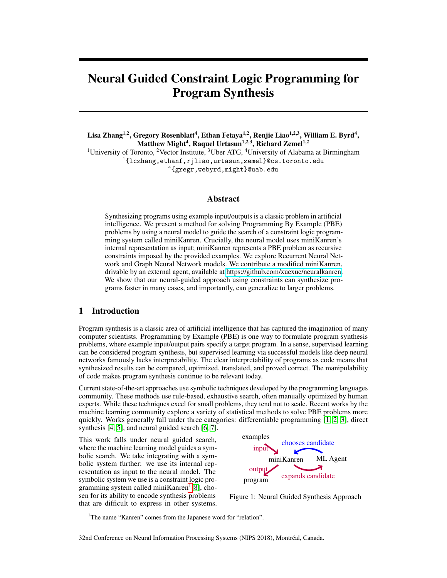# Neural Guided Constraint Logic Programming for Program Synthesis

Lisa Zhang<sup>1,2</sup>, Gregory Rosenblatt<sup>4</sup>, Ethan Fetaya<sup>1,2</sup>, Renjie Liao<sup>1,2,3</sup>, William E. Byrd<sup>4</sup>, Matthew Might<sup>4</sup>, Raquel Urtasun<sup>1,2,3</sup>, Richard Zemel<sup>1,2</sup> <sup>1</sup>University of Toronto, <sup>2</sup>Vector Institute, <sup>3</sup>Uber ATG, <sup>4</sup>University of Alabama at Birmingham <sup>1</sup>{lczhang,ethanf,rjliao,urtasun,zemel}@cs.toronto.edu <sup>4</sup>{gregr,webyrd,might}@uab.edu

#### Abstract

Synthesizing programs using example input/outputs is a classic problem in artificial intelligence. We present a method for solving Programming By Example (PBE) problems by using a neural model to guide the search of a constraint logic programming system called miniKanren. Crucially, the neural model uses miniKanren's internal representation as input; miniKanren represents a PBE problem as recursive constraints imposed by the provided examples. We explore Recurrent Neural Network and Graph Neural Network models. We contribute a modified miniKanren, drivable by an external agent, available at [https://github.com/xuexue/neuralkanren.](https://github.com/xuexue/neuralkanren) We show that our neural-guided approach using constraints can synthesize programs faster in many cases, and importantly, can generalize to larger problems.

### 1 Introduction

Program synthesis is a classic area of artificial intelligence that has captured the imagination of many computer scientists. Programming by Example (PBE) is one way to formulate program synthesis problems, where example input/output pairs specify a target program. In a sense, supervised learning can be considered program synthesis, but supervised learning via successful models like deep neural networks famously lacks interpretability. The clear interpretability of programs as code means that synthesized results can be compared, optimized, translated, and proved correct. The manipulability of code makes program synthesis continue to be relevant today.

Current state-of-the-art approaches use symbolic techniques developed by the programming languages community. These methods use rule-based, exhaustive search, often manually optimized by human experts. While these techniques excel for small problems, they tend not to scale. Recent works by the machine learning community explore a variety of statistical methods to solve PBE problems more quickly. Works generally fall under three categories: differentiable programming [\[1,](#page-8-0) [2,](#page-8-1) [3\]](#page-8-2), direct synthesis [\[4,](#page-8-3) [5\]](#page-8-4), and neural guided search [\[6,](#page-8-5) [7\]](#page-8-6).

This work falls under neural guided search, where the machine learning model guides a symbolic search. We take integrating with a symbolic system further: we use its internal representation as input to the neural model. The symbolic system we use is a constraint logic pro-gramming system called miniKanren<sup>[1](#page-0-0)</sup>[\[8\]](#page-8-7), chosen for its ability to encode synthesis problems that are difficult to express in other systems.

<span id="page-0-1"></span>

Figure 1: Neural Guided Synthesis Approach

<span id="page-0-0"></span><sup>&</sup>lt;sup>1</sup>The name "Kanren" comes from the Japanese word for "relation".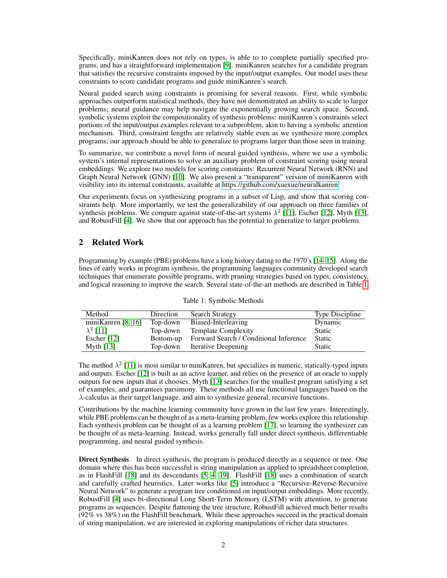Specifically, miniKanren does not rely on types, is able to to complete partially specified programs, and has a straightforward implementation [\[9\]](#page-8-8). miniKanren searches for a candidate program that satisfies the recursive constraints imposed by the input/output examples. Our model uses these constraints to score candidate programs and guide miniKanren's search.

Neural guided search using constraints is promising for several reasons. First, while symbolic approaches outperform statistical methods, they have not demonstrated an ability to scale to larger problems; neural guidance may help navigate the exponentially growing search space. Second, symbolic systems exploit the compositionality of synthesis problems: miniKanren's constraints select portions of the input/output examples relevant to a subproblem, akin to having a symbolic attention mechanism. Third, constraint lengths are relatively stable even as we synthesize more complex programs; our approach should be able to generalize to programs larger than those seen in training.

To summarize, we contribute a novel form of neural guided synthesis, where we use a symbolic system's internal representations to solve an auxiliary problem of constraint scoring using neural embeddings. We explore two models for scoring constraints: Recurrent Neural Network (RNN) and Graph Neural Network (GNN) [\[10\]](#page-8-9). We also present a "transparent" version of miniKanren with visibility into its internal constraints, available at [https://github.com/xuexue/neuralkanren.](https://github.com/xuexue/neuralkanren)

Our experiments focus on synthesizing programs in a subset of Lisp, and show that scoring constraints help. More importantly, we test the generalizability of our approach on three families of synthesis problems. We compare against state-of-the-art systems  $\lambda^2$  [\[11\]](#page-8-10), Escher [\[12\]](#page-8-11), Myth [\[13\]](#page-8-12), and RobustFill [\[4\]](#page-8-3). We show that our approach has the potential to generalize to larger problems.

# 2 Related Work

Programming by example (PBE) problems have a long history dating to the 1970's [\[14,](#page-8-13) [15\]](#page-8-14). Along the lines of early works in program synthesis, the programming languages community developed search techniques that enumerate possible programs, with pruning strategies based on types, consistency, and logical reasoning to improve the search. Several state-of-the-art methods are described in Table [1.](#page-1-0)

<span id="page-1-0"></span>

| Method                 | Direction | Search Strategy                        | <b>Type Discipline</b> |
|------------------------|-----------|----------------------------------------|------------------------|
| mini Kanren [8, $16$ ] | Top-down  | Biased-Interleaving                    | Dynamic                |
| $\lambda^2$ [11]       | Top-down  | <b>Template Complexity</b>             | Static                 |
| Escher $[12]$          | Bottom-up | Forward Search / Conditional Inference | Static                 |
| Myth $[13]$            | Top-down  | <b>Iterative Deepening</b>             | <b>Static</b>          |

Table 1: Symbolic Methods

The method  $\lambda^2$  [\[11\]](#page-8-10) is most similar to miniKanren, but specializes in numeric, statically-typed inputs and outputs. Escher [\[12\]](#page-8-11) is built as an active learner, and relies on the presence of an oracle to supply outputs for new inputs that it chooses. Myth [\[13\]](#page-8-12) searches for the smallest program satisfying a set of examples, and guarantees parsimony. These methods all use functional languages based on the λ-calculus as their target language, and aim to synthesize general, recursive functions.

Contributions by the machine learning community have grown in the last few years. Interestingly, while PBE problems can be thought of as a meta-learning problem, few works explore this relationship. Each synthesis problem can be thought of as a learning problem [\[17\]](#page-9-1), so learning the synthesizer can be thought of as meta-learning. Instead, works generally fall under direct synthesis, differentiable programming, and neural guided synthesis.

Direct Synthesis In direct synthesis, the program is produced directly as a sequence or tree. One domain where this has been successful is string manipulation as applied to spreadsheet completion, as in FlashFill [\[18\]](#page-9-2) and its descendants [\[5,](#page-8-4) [4,](#page-8-3) [19\]](#page-9-3). FlashFill [\[18\]](#page-9-2) uses a combination of search and carefully crafted heuristics. Later works like [\[5\]](#page-8-4) introduce a "Recursive-Reverse-Recursive Neural Network" to generate a program tree conditioned on input/output embeddings. More recently, RobustFill [\[4\]](#page-8-3) uses bi-directional Long Short-Term Memory (LSTM) with attention, to generate programs as sequences. Despite flattening the tree structure, RobustFill achieved much better results (92% vs 38%) on the FlashFill benchmark. While these approaches succeed in the practical domain of string manipulation, we are interested in exploring manipulations of richer data structures.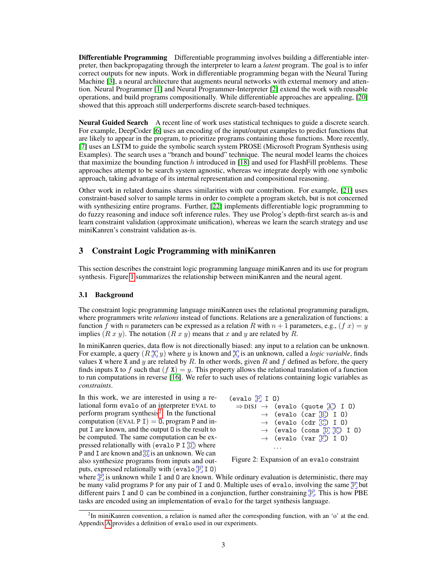Differentiable Programming Differentiable programming involves building a differentiable interpreter, then backpropagating through the interpreter to learn a *latent* program. The goal is to infer correct outputs for new inputs. Work in differentiable programming began with the Neural Turing Machine [\[3\]](#page-8-2), a neural architecture that augments neural networks with external memory and attention. Neural Programmer [\[1\]](#page-8-0) and Neural Programmer-Interpreter [\[2\]](#page-8-1) extend the work with reusable operations, and build programs compositionally. While differentiable approaches are appealing, [\[20\]](#page-9-4) showed that this approach still underperforms discrete search-based techniques.

Neural Guided Search A recent line of work uses statistical techniques to guide a discrete search. For example, DeepCoder [\[6\]](#page-8-5) uses an encoding of the input/output examples to predict functions that are likely to appear in the program, to prioritize programs containing those functions. More recently, [\[7\]](#page-8-6) uses an LSTM to guide the symbolic search system PROSE (Microsoft Program Synthesis using Examples). The search uses a "branch and bound" technique. The neural model learns the choices that maximize the bounding function  $h$  introduced in [\[18\]](#page-9-2) and used for FlashFill problems. These approaches attempt to be search system agnostic, whereas we integrate deeply with one symbolic approach, taking advantage of its internal representation and compositional reasoning.

Other work in related domains shares similarities with our contribution. For example, [\[21\]](#page-9-5) uses constraint-based solver to sample terms in order to complete a program sketch, but is not concerned with synthesizing entire programs. Further, [\[22\]](#page-9-6) implements differentiable logic programming to do fuzzy reasoning and induce soft inference rules. They use Prolog's depth-first search as-is and learn constraint validation (approximate unification), whereas we learn the search strategy and use miniKanren's constraint validation as-is.

# 3 Constraint Logic Programming with miniKanren

This section describes the constraint logic programming language miniKanren and its use for program synthesis. Figure [1](#page-0-1) summarizes the relationship between miniKanren and the neural agent.

#### 3.1 Background

The constraint logic programming language miniKanren uses the relational programming paradigm, where programmers write *relations* instead of functions. Relations are a generalization of functions: a function f with n parameters can be expressed as a relation R with  $n + 1$  parameters, e.g.,  $(f x) = y$ implies  $(R x y)$ . The notation  $(R x y)$  means that x and y are related by R.

In miniKanren queries, data flow is not directionally biased: any input to a relation can be unknown. For example, a query  $(R[\overline{X}]y)$  where y is known and  $[\overline{X}]$  is an unknown, called a *logic variable*, finds values X where X and y are related by  $R$ . In other words, given  $R$  and  $f$  defined as before, the query finds inputs X to f such that  $(f X) = y$ . This property allows the relational translation of a function to run computations in reverse [\[16\]](#page-9-0). We refer to such uses of relations containing logic variables as *constraints*.

In this work, we are interested in using a relational form evalo of an interpreter EVAL to perform program synthesis<sup>[2](#page-2-0)</sup>. In the functional computation (EVAL P I) = 0, program P and input I are known, and the output O is the result to be computed. The same computation can be expressed relationally with (evalo P I  $[0]$ ) where P and I are known and  $[0]$  is an unknown. We can also synthesize programs from inputs and outputs, expressed relationally with (evalo  $\overline{P}$  I 0)



<span id="page-2-1"></span>Figure 2: Expansion of an evalo constraint

where  $\mathbb{F}$  is unknown while I and 0 are known. While ordinary evaluation is deterministic, there may be many valid programs P for any pair of I and 0. Multiple uses of evalo, involving the same  $[\overline{P}]$  but different pairs I and 0 can be combined in a conjunction, further constraining  $\mathbb{P}^1$ . This is how PBE tasks are encoded using an implementation of evalo for the target synthesis language.

<span id="page-2-0"></span><sup>&</sup>lt;sup>2</sup>In miniKanren convention, a relation is named after the corresponding function, with an 'o' at the end. Appendix [A](#page-10-0) provides a definition of evalo used in our experiments.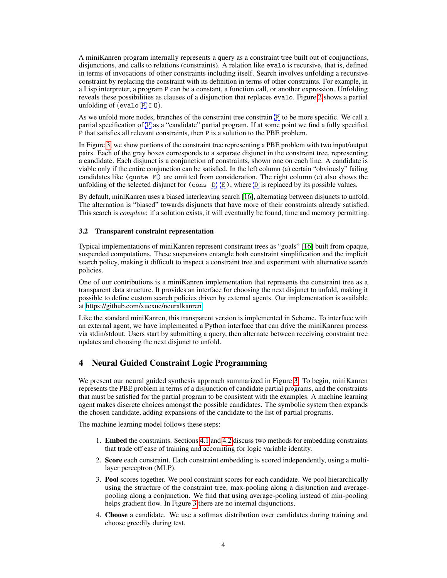A miniKanren program internally represents a query as a constraint tree built out of conjunctions, disjunctions, and calls to relations (constraints). A relation like evalo is recursive, that is, defined in terms of invocations of other constraints including itself. Search involves unfolding a recursive constraint by replacing the constraint with its definition in terms of other constraints. For example, in a Lisp interpreter, a program P can be a constant, a function call, or another expression. Unfolding reveals these possibilities as clauses of a disjunction that replaces evalo. Figure [2](#page-2-1) shows a partial unfolding of (evalo  $\overline{P}$  I 0).

As we unfold more nodes, branches of the constraint tree constrain  $\mathbb{P}_{1}$  to be more specific. We call a partial specification of  $\mathbb{F}$  as a "candidate" partial program. If at some point we find a fully specified P that satisfies all relevant constraints, then P is a solution to the PBE problem.

In Figure [3,](#page-4-0) we show portions of the constraint tree representing a PBE problem with two input/output pairs. Each of the gray boxes corresponds to a separate disjunct in the constraint tree, representing a candidate. Each disjunct is a conjunction of constraints, shown one on each line. A candidate is viable only if the entire conjunction can be satisfied. In the left column (a) certain "obviously" failing candidates like (quote  $\mathbb{M}$ ) are omitted from consideration. The right column (c) also shows the unfolding of the selected disjunct for (cons  $[D, E]$ ), where  $[D]$  is replaced by its possible values.

By default, miniKanren uses a biased interleaving search [\[16\]](#page-9-0), alternating between disjuncts to unfold. The alternation is "biased" towards disjuncts that have more of their constraints already satisfied. This search is *complete*: if a solution exists, it will eventually be found, time and memory permitting.

#### 3.2 Transparent constraint representation

Typical implementations of miniKanren represent constraint trees as "goals" [\[16\]](#page-9-0) built from opaque, suspended computations. These suspensions entangle both constraint simplification and the implicit search policy, making it difficult to inspect a constraint tree and experiment with alternative search policies.

One of our contributions is a miniKanren implementation that represents the constraint tree as a transparent data structure. It provides an interface for choosing the next disjunct to unfold, making it possible to define custom search policies driven by external agents. Our implementation is available at [https://github.com/xuexue/neuralkanren.](https://github.com/xuexue/neuralkanren)

Like the standard miniKanren, this transparent version is implemented in Scheme. To interface with an external agent, we have implemented a Python interface that can drive the miniKanren process via stdin/stdout. Users start by submitting a query, then alternate between receiving constraint tree updates and choosing the next disjunct to unfold.

# 4 Neural Guided Constraint Logic Programming

We present our neural guided synthesis approach summarized in Figure [3.](#page-4-0) To begin, miniKanren represents the PBE problem in terms of a disjunction of candidate partial programs, and the constraints that must be satisfied for the partial program to be consistent with the examples. A machine learning agent makes discrete choices amongst the possible candidates. The symbolic system then expands the chosen candidate, adding expansions of the candidate to the list of partial programs.

The machine learning model follows these steps:

- 1. Embed the constraints. Sections [4.1](#page-4-1) and [4.2](#page-4-2) discuss two methods for embedding constraints that trade off ease of training and accounting for logic variable identity.
- 2. Score each constraint. Each constraint embedding is scored independently, using a multilayer perceptron (MLP).
- 3. Pool scores together. We pool constraint scores for each candidate. We pool hierarchically using the structure of the constraint tree, max-pooling along a disjunction and averagepooling along a conjunction. We find that using average-pooling instead of min-pooling helps gradient flow. In Figure [3](#page-4-0) there are no internal disjunctions.
- 4. Choose a candidate. We use a softmax distribution over candidates during training and choose greedily during test.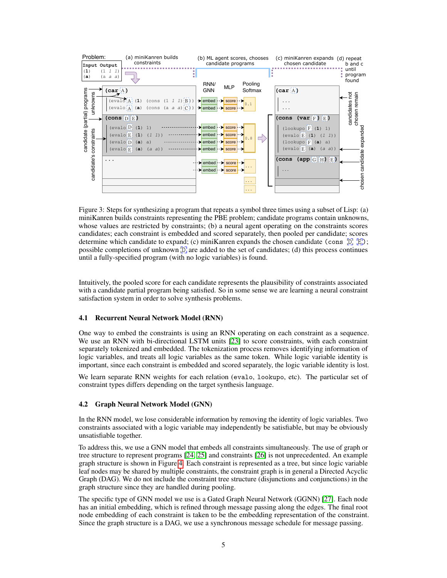

<span id="page-4-0"></span>Figure 3: Steps for synthesizing a program that repeats a symbol three times using a subset of Lisp: (a) miniKanren builds constraints representing the PBE problem; candidate programs contain unknowns, whose values are restricted by constraints; (b) a neural agent operating on the constraints scores candidates; each constraint is embedded and scored separately, then pooled per candidate; scores determine which candidate to expand; (c) miniKanren expands the chosen candidate (cons  $[D_E]$ ; possible completions of unknown  $[D]$  are added to the set of candidates; (d) this process continues until a fully-specified program (with no logic variables) is found.

Intuitively, the pooled score for each candidate represents the plausibility of constraints associated with a candidate partial program being satisfied. So in some sense we are learning a neural constraint satisfaction system in order to solve synthesis problems.

#### <span id="page-4-1"></span>4.1 Recurrent Neural Network Model (RNN)

One way to embed the constraints is using an RNN operating on each constraint as a sequence. We use an RNN with bi-directional LSTM units [\[23\]](#page-9-7) to score constraints, with each constraint separately tokenized and embedded. The tokenization process removes identifying information of logic variables, and treats all logic variables as the same token. While logic variable identity is important, since each constraint is embedded and scored separately, the logic variable identity is lost.

We learn separate RNN weights for each relation (evalo, lookupo, etc). The particular set of constraint types differs depending on the target synthesis language.

#### <span id="page-4-2"></span>4.2 Graph Neural Network Model (GNN)

In the RNN model, we lose considerable information by removing the identity of logic variables. Two constraints associated with a logic variable may independently be satisfiable, but may be obviously unsatisfiable together.

To address this, we use a GNN model that embeds all constraints simultaneously. The use of graph or tree structure to represent programs [\[24,](#page-9-8) [25\]](#page-9-9) and constraints [\[26\]](#page-9-10) is not unprecedented. An example graph structure is shown in Figure [4.](#page-5-0) Each constraint is represented as a tree, but since logic variable leaf nodes may be shared by multiple constraints, the constraint graph is in general a Directed Acyclic Graph (DAG). We do not include the constraint tree structure (disjunctions and conjunctions) in the graph structure since they are handled during pooling.

The specific type of GNN model we use is a Gated Graph Neural Network (GGNN) [\[27\]](#page-9-11). Each node has an initial embedding, which is refined through message passing along the edges. The final root node embedding of each constraint is taken to be the embedding representation of the constraint. Since the graph structure is a DAG, we use a synchronous message schedule for message passing.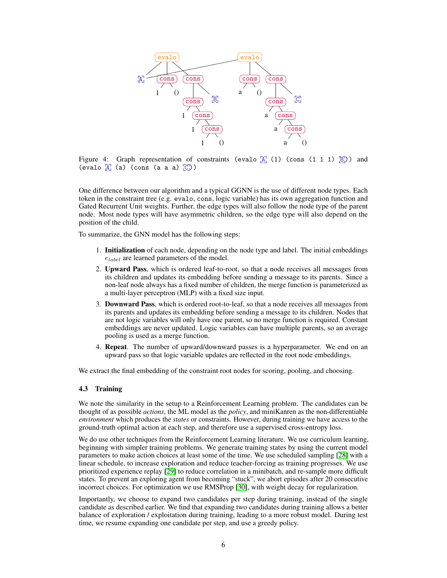<span id="page-5-0"></span>

Figure 4: Graph representation of constraints (evalo  $\begin{bmatrix} A & (1) & (cons (1 1 1) \end{bmatrix}$ ) and (evalo  $\overline{A}$  (a) (cons (a a a)  $\overline{C}$ ))

One difference between our algorithm and a typical GGNN is the use of different node types. Each token in the constraint tree (e.g. evalo, cons, logic variable) has its own aggregation function and Gated Recurrent Unit weights. Further, the edge types will also follow the node type of the parent node. Most node types will have asymmetric children, so the edge type will also depend on the position of the child.

To summarize, the GNN model has the following steps:

- 1. Initialization of each node, depending on the node type and label. The initial embeddings  $e_{label}$  are learned parameters of the model.
- 2. Upward Pass, which is ordered leaf-to-root, so that a node receives all messages from its children and updates its embedding before sending a message to its parents. Since a non-leaf node always has a fixed number of children, the merge function is parameterized as a multi-layer perceptron (MLP) with a fixed size input.
- 3. Downward Pass, which is ordered root-to-leaf, so that a node receives all messages from its parents and updates its embedding before sending a message to its children. Nodes that are not logic variables will only have one parent, so no merge function is required. Constant embeddings are never updated. Logic variables can have multiple parents, so an average pooling is used as a merge function.
- 4. Repeat. The number of upward/downward passes is a hyperparameter. We end on an upward pass so that logic variable updates are reflected in the root node embeddings.

We extract the final embedding of the constraint root nodes for scoring, pooling, and choosing.

#### 4.3 Training

We note the similarity in the setup to a Reinforcement Learning problem. The candidates can be thought of as possible *actions*, the ML model as the *policy*, and miniKanren as the non-differentiable *environment* which produces the *states* or constraints. However, during training we have access to the ground-truth optimal action at each step, and therefore use a supervised cross-entropy loss.

We do use other techniques from the Reinforcement Learning literature. We use curriculum learning, beginning with simpler training problems. We generate training states by using the current model parameters to make action choices at least some of the time. We use scheduled sampling [\[28\]](#page-9-12) with a linear schedule, to increase exploration and reduce teacher-forcing as training progresses. We use prioritized experience replay [\[29\]](#page-9-13) to reduce correlation in a minibatch, and re-sample more difficult states. To prevent an exploring agent from becoming "stuck", we abort episodes after 20 consecutive incorrect choices. For optimization we use RMSProp [\[30\]](#page-9-14), with weight decay for regularization.

Importantly, we choose to expand two candidates per step during training, instead of the single candidate as described earlier. We find that expanding two candidates during training allows a better balance of exploration / exploitation during training, leading to a more robust model. During test time, we resume expanding one candidate per step, and use a greedy policy.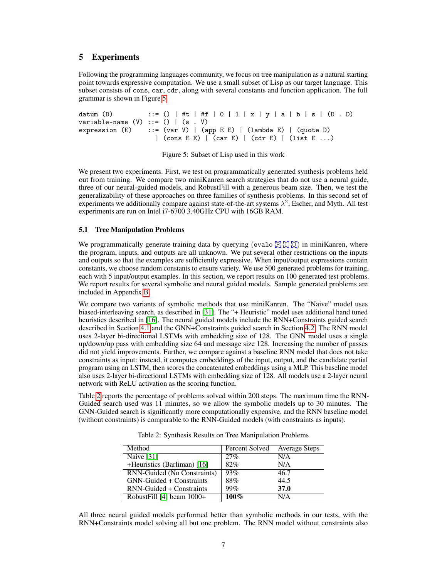## 5 Experiments

Following the programming languages community, we focus on tree manipulation as a natural starting point towards expressive computation. We use a small subset of Lisp as our target language. This subset consists of cons, car, cdr, along with several constants and function application. The full grammar is shown in Figure [5.](#page-6-0)

```
datum (D) ::= () | #t | #f | 0 | 1 | x | y | a | b | s | (D . D)
variable-name (V) ::= () | (s . V)expression (E) ::= (var V) | (app E E) | (lambda E) | (quote D)
                   | (cons E E) | (car E) | (cdr E) | (list E ...)
```
Figure 5: Subset of Lisp used in this work

<span id="page-6-0"></span>We present two experiments. First, we test on programmatically generated synthesis problems held out from training. We compare two miniKanren search strategies that do not use a neural guide, three of our neural-guided models, and RobustFill with a generous beam size. Then, we test the generalizability of these approaches on three families of synthesis problems. In this second set of experiments we additionally compare against state-of-the-art systems  $\lambda^2$ , Escher, and Myth. All test experiments are run on Intel i7-6700 3.40GHz CPU with 16GB RAM.

#### <span id="page-6-2"></span>5.1 Tree Manipulation Problems

We programmatically generate training data by querying (evalo  $\mathbb{F}[\mathbb{T}]\mathbb{G}$ ) in miniKanren, where the program, inputs, and outputs are all unknown. We put several other restrictions on the inputs and outputs so that the examples are sufficiently expressive. When input/output expressions contain constants, we choose random constants to ensure variety. We use 500 generated problems for training, each with 5 input/output examples. In this section, we report results on 100 generated test problems. We report results for several symbolic and neural guided models. Sample generated problems are included in Appendix [B.](#page-11-0)

We compare two variants of symbolic methods that use miniKanren. The "Naive" model uses biased-interleaving search, as described in [\[31\]](#page-9-15). The "+ Heuristic" model uses additional hand tuned heuristics described in [\[16\]](#page-9-0). The neural guided models include the RNN+Constraints guided search described in Section [4.1](#page-4-1) and the GNN+Constraints guided search in Section [4.2.](#page-4-2) The RNN model uses 2-layer bi-directional LSTMs with embedding size of 128. The GNN model uses a single up/down/up pass with embedding size 64 and message size 128. Increasing the number of passes did not yield improvements. Further, we compare against a baseline RNN model that does not take constraints as input: instead, it computes embeddings of the input, output, and the candidate partial program using an LSTM, then scores the concatenated embeddings using a MLP. This baseline model also uses 2-layer bi-directional LSTMs with embedding size of 128. All models use a 2-layer neural network with ReLU activation as the scoring function.

<span id="page-6-1"></span>Table [2](#page-6-1) reports the percentage of problems solved within 200 steps. The maximum time the RNN-Guided search used was 11 minutes, so we allow the symbolic models up to 30 minutes. The GNN-Guided search is significantly more computationally expensive, and the RNN baseline model (without constraints) is comparable to the RNN-Guided models (with constraints as inputs).

| Method                      | Percent Solved | <b>Average Steps</b> |
|-----------------------------|----------------|----------------------|
| Naive $[31]$                | 27%            | N/A                  |
| +Heuristics (Barliman) [16] | 82%            | N/A                  |
| RNN-Guided (No Constraints) | 93%            | 46.7                 |
| GNN-Guided + Constraints    | 88%            | 44.5                 |
| RNN-Guided + Constraints    | 99%            | 37.0                 |
| RobustFill [4] beam $1000+$ | $100\%$        | N/A                  |

Table 2: Synthesis Results on Tree Manipulation Problems

All three neural guided models performed better than symbolic methods in our tests, with the RNN+Constraints model solving all but one problem. The RNN model without constraints also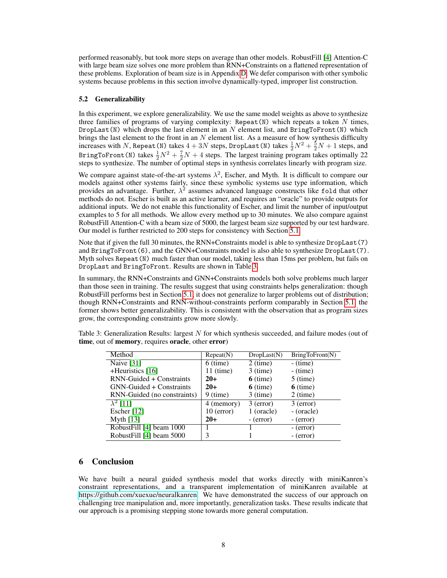performed reasonably, but took more steps on average than other models. RobustFill [\[4\]](#page-8-3) Attention-C with large beam size solves one more problem than RNN+Constraints on a flattened representation of these problems. Exploration of beam size is in Appendix [D.](#page-13-0) We defer comparison with other symbolic systems because problems in this section involve dynamically-typed, improper list construction.

#### 5.2 Generalizability

In this experiment, we explore generalizability. We use the same model weights as above to synthesize three families of programs of varying complexity: Repeat  $(N)$  which repeats a token N times, DropLast(N) which drops the last element in an N element list, and BringToFront(N) which brings the last element to the front in an  $N$  element list. As a measure of how synthesis difficulty increases with N, Repeat (N) takes  $4 + 3N$  steps, DropLast (N) takes  $\frac{1}{2}N^2 + \frac{5}{2}N + 1$  steps, and BringToFront(N) takes  $\frac{1}{2}N^2 + \frac{7}{2}N + 4$  steps. The largest training program takes optimally 22 steps to synthesize. The number of optimal steps in synthesis correlates linearly with program size.

We compare against state-of-the-art systems  $\lambda^2$ , Escher, and Myth. It is difficult to compare our models against other systems fairly, since these symbolic systems use type information, which provides an advantage. Further,  $\lambda^2$  assumes advanced language constructs like fold that other methods do not. Escher is built as an active learner, and requires an "oracle" to provide outputs for additional inputs. We do not enable this functionality of Escher, and limit the number of input/output examples to 5 for all methods. We allow every method up to 30 minutes. We also compare against RobustFill Attention-C with a beam size of 5000, the largest beam size supported by our test hardware. Our model is further restricted to 200 steps for consistency with Section [5.1.](#page-6-2)

Note that if given the full 30 minutes, the RNN+Constraints model is able to synthesize DropLast(7) and  $BringToFront(6)$ , and the GNN+Constraints model is also able to synthesize  $DropLast(7)$ . Myth solves Repeat  $(N)$  much faster than our model, taking less than 15ms per problem, but fails on DropLast and BringToFront. Results are shown in Table [3.](#page-7-0)

In summary, the RNN+Constraints and GNN+Constraints models both solve problems much larger than those seen in training. The results suggest that using constraints helps generalization: though RobustFill performs best in Section [5.1,](#page-6-2) it does not generalize to larger problems out of distribution; though RNN+Constraints and RNN-without-constraints perform comparably in Section [5.1,](#page-6-2) the former shows better generalizability. This is consistent with the observation that as program sizes grow, the corresponding constraints grow more slowly.

| Method                      | Repeat(N)    | DropLast(N) | BringToFront(N) |
|-----------------------------|--------------|-------------|-----------------|
| Naive $[31]$                | $6$ (time)   | $2$ (time)  | $-$ (time)      |
| +Heuristics [16]            | $11$ (time)  | $3$ (time)  | $-$ (time)      |
| RNN-Guided + Constraints    | $20+$        | $6$ (time)  | $5$ (time)      |
| GNN-Guided + Constraints    | $20+$        | $6$ (time)  | $6$ (time)      |
| RNN-Guided (no constraints) | $9$ (time)   | $3$ (time)  | $2$ (time)      |
| $\lambda^2$ [11]            | 4 (memory)   | $3$ (error) | $3$ (error)     |
| Escher $[12]$               | $10$ (error) | 1 (oracle)  | - (oracle)      |
| Myth $[13]$                 | $20+$        | $-$ (error) | $-$ (error)     |
| RobustFill [4] beam 1000    |              |             | $-$ (error)     |
| RobustFill [4] beam 5000    | 3            |             | $-$ (error)     |

<span id="page-7-0"></span>Table 3: Generalization Results: largest  $N$  for which synthesis succeeded, and failure modes (out of time, out of memory, requires oracle, other error)

# 6 Conclusion

We have built a neural guided synthesis model that works directly with miniKanren's constraint representations, and a transparent implementation of miniKanren available at [https://github.com/xuexue/neuralkanren.](https://github.com/xuexue/neuralkanren) We have demonstrated the success of our approach on challenging tree manipulation and, more importantly, generalization tasks. These results indicate that our approach is a promising stepping stone towards more general computation.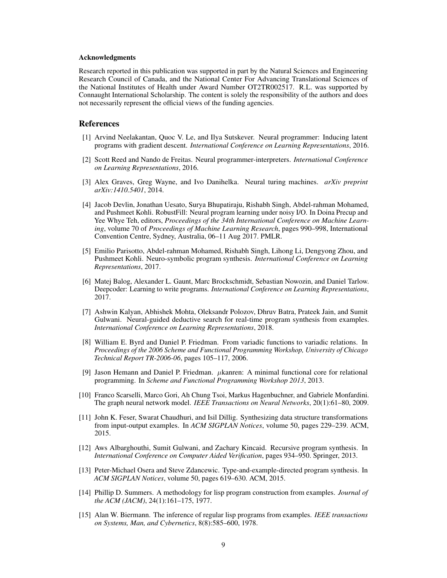#### Acknowledgments

Research reported in this publication was supported in part by the Natural Sciences and Engineering Research Council of Canada, and the National Center For Advancing Translational Sciences of the National Institutes of Health under Award Number OT2TR002517. R.L. was supported by Connaught International Scholarship. The content is solely the responsibility of the authors and does not necessarily represent the official views of the funding agencies.

#### References

- <span id="page-8-0"></span>[1] Arvind Neelakantan, Quoc V. Le, and Ilya Sutskever. Neural programmer: Inducing latent programs with gradient descent. *International Conference on Learning Representations*, 2016.
- <span id="page-8-1"></span>[2] Scott Reed and Nando de Freitas. Neural programmer-interpreters. *International Conference on Learning Representations*, 2016.
- <span id="page-8-2"></span>[3] Alex Graves, Greg Wayne, and Ivo Danihelka. Neural turing machines. *arXiv preprint arXiv:1410.5401*, 2014.
- <span id="page-8-3"></span>[4] Jacob Devlin, Jonathan Uesato, Surya Bhupatiraju, Rishabh Singh, Abdel-rahman Mohamed, and Pushmeet Kohli. RobustFill: Neural program learning under noisy I/O. In Doina Precup and Yee Whye Teh, editors, *Proceedings of the 34th International Conference on Machine Learning*, volume 70 of *Proceedings of Machine Learning Research*, pages 990–998, International Convention Centre, Sydney, Australia, 06–11 Aug 2017. PMLR.
- <span id="page-8-4"></span>[5] Emilio Parisotto, Abdel-rahman Mohamed, Rishabh Singh, Lihong Li, Dengyong Zhou, and Pushmeet Kohli. Neuro-symbolic program synthesis. *International Conference on Learning Representations*, 2017.
- <span id="page-8-5"></span>[6] Matej Balog, Alexander L. Gaunt, Marc Brockschmidt, Sebastian Nowozin, and Daniel Tarlow. Deepcoder: Learning to write programs. *International Conference on Learning Representations*, 2017.
- <span id="page-8-6"></span>[7] Ashwin Kalyan, Abhishek Mohta, Oleksandr Polozov, Dhruv Batra, Prateek Jain, and Sumit Gulwani. Neural-guided deductive search for real-time program synthesis from examples. *International Conference on Learning Representations*, 2018.
- <span id="page-8-7"></span>[8] William E. Byrd and Daniel P. Friedman. From variadic functions to variadic relations. In *Proceedings of the 2006 Scheme and Functional Programming Workshop, University of Chicago Technical Report TR-2006-06*, pages 105–117, 2006.
- <span id="page-8-8"></span>[9] Jason Hemann and Daniel P. Friedman. µkanren: A minimal functional core for relational programming. In *Scheme and Functional Programming Workshop 2013*, 2013.
- <span id="page-8-9"></span>[10] Franco Scarselli, Marco Gori, Ah Chung Tsoi, Markus Hagenbuchner, and Gabriele Monfardini. The graph neural network model. *IEEE Transactions on Neural Networks*, 20(1):61–80, 2009.
- <span id="page-8-10"></span>[11] John K. Feser, Swarat Chaudhuri, and Isil Dillig. Synthesizing data structure transformations from input-output examples. In *ACM SIGPLAN Notices*, volume 50, pages 229–239. ACM, 2015.
- <span id="page-8-11"></span>[12] Aws Albarghouthi, Sumit Gulwani, and Zachary Kincaid. Recursive program synthesis. In *International Conference on Computer Aided Verification*, pages 934–950. Springer, 2013.
- <span id="page-8-12"></span>[13] Peter-Michael Osera and Steve Zdancewic. Type-and-example-directed program synthesis. In *ACM SIGPLAN Notices*, volume 50, pages 619–630. ACM, 2015.
- <span id="page-8-13"></span>[14] Phillip D. Summers. A methodology for lisp program construction from examples. *Journal of the ACM (JACM)*, 24(1):161–175, 1977.
- <span id="page-8-14"></span>[15] Alan W. Biermann. The inference of regular lisp programs from examples. *IEEE transactions on Systems, Man, and Cybernetics*, 8(8):585–600, 1978.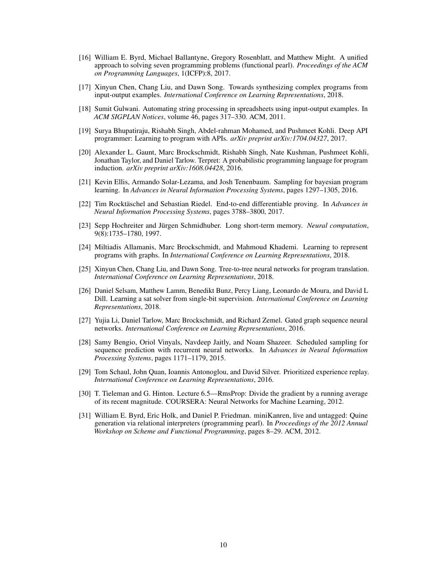- <span id="page-9-0"></span>[16] William E. Byrd, Michael Ballantyne, Gregory Rosenblatt, and Matthew Might. A unified approach to solving seven programming problems (functional pearl). *Proceedings of the ACM on Programming Languages*, 1(ICFP):8, 2017.
- <span id="page-9-1"></span>[17] Xinyun Chen, Chang Liu, and Dawn Song. Towards synthesizing complex programs from input-output examples. *International Conference on Learning Representations*, 2018.
- <span id="page-9-2"></span>[18] Sumit Gulwani. Automating string processing in spreadsheets using input-output examples. In *ACM SIGPLAN Notices*, volume 46, pages 317–330. ACM, 2011.
- <span id="page-9-3"></span>[19] Surya Bhupatiraju, Rishabh Singh, Abdel-rahman Mohamed, and Pushmeet Kohli. Deep API programmer: Learning to program with APIs. *arXiv preprint arXiv:1704.04327*, 2017.
- <span id="page-9-4"></span>[20] Alexander L. Gaunt, Marc Brockschmidt, Rishabh Singh, Nate Kushman, Pushmeet Kohli, Jonathan Taylor, and Daniel Tarlow. Terpret: A probabilistic programming language for program induction. *arXiv preprint arXiv:1608.04428*, 2016.
- <span id="page-9-5"></span>[21] Kevin Ellis, Armando Solar-Lezama, and Josh Tenenbaum. Sampling for bayesian program learning. In *Advances in Neural Information Processing Systems*, pages 1297–1305, 2016.
- <span id="page-9-6"></span>[22] Tim Rocktäschel and Sebastian Riedel. End-to-end differentiable proving. In *Advances in Neural Information Processing Systems*, pages 3788–3800, 2017.
- <span id="page-9-7"></span>[23] Sepp Hochreiter and Jürgen Schmidhuber. Long short-term memory. *Neural computation*, 9(8):1735–1780, 1997.
- <span id="page-9-8"></span>[24] Miltiadis Allamanis, Marc Brockschmidt, and Mahmoud Khademi. Learning to represent programs with graphs. In *International Conference on Learning Representations*, 2018.
- <span id="page-9-9"></span>[25] Xinyun Chen, Chang Liu, and Dawn Song. Tree-to-tree neural networks for program translation. *International Conference on Learning Representations*, 2018.
- <span id="page-9-10"></span>[26] Daniel Selsam, Matthew Lamm, Benedikt Bunz, Percy Liang, Leonardo de Moura, and David L Dill. Learning a sat solver from single-bit supervision. *International Conference on Learning Representations*, 2018.
- <span id="page-9-11"></span>[27] Yujia Li, Daniel Tarlow, Marc Brockschmidt, and Richard Zemel. Gated graph sequence neural networks. *International Conference on Learning Representations*, 2016.
- <span id="page-9-12"></span>[28] Samy Bengio, Oriol Vinyals, Navdeep Jaitly, and Noam Shazeer. Scheduled sampling for sequence prediction with recurrent neural networks. In *Advances in Neural Information Processing Systems*, pages 1171–1179, 2015.
- <span id="page-9-13"></span>[29] Tom Schaul, John Quan, Ioannis Antonoglou, and David Silver. Prioritized experience replay. *International Conference on Learning Representations*, 2016.
- <span id="page-9-14"></span>[30] T. Tieleman and G. Hinton. Lecture 6.5—RmsProp: Divide the gradient by a running average of its recent magnitude. COURSERA: Neural Networks for Machine Learning, 2012.
- <span id="page-9-15"></span>[31] William E. Byrd, Eric Holk, and Daniel P. Friedman. miniKanren, live and untagged: Quine generation via relational interpreters (programming pearl). In *Proceedings of the 2012 Annual Workshop on Scheme and Functional Programming*, pages 8–29. ACM, 2012.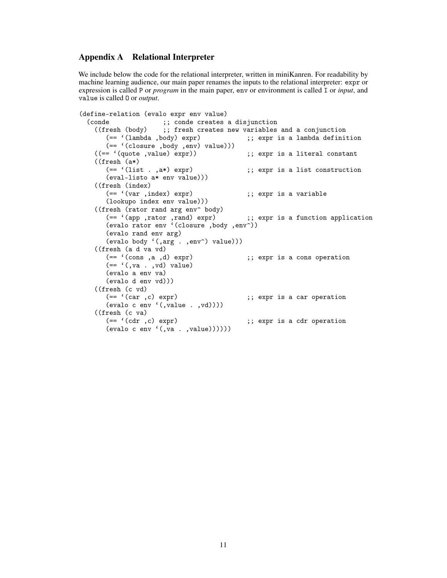## <span id="page-10-0"></span>Appendix A Relational Interpreter

We include below the code for the relational interpreter, written in miniKanren. For readability by machine learning audience, our main paper renames the inputs to the relational interpreter: expr or expression is called P or *program* in the main paper, env or environment is called I or *input*, and value is called O or *output*.

```
(define-relation (evalo expr env value)<br>(conde :: conde creates
      onde ;; conde creates a disjunction<br>((fresh (body) ;; fresh creates new variables
          resh (body) ;; fresh creates new variables and a conjunction (== '(lambda ,body) expr) ;; expr is a lambda definit
                                                                 ;; expr is a lambda definition
      (== ' (closure , body , env) value)))<br>((- = ' (quote , value) expr));; expr is a literal constant
      ((\text{fresh } (a*)<br>(== '(\text{list } . ,a*) \text{ expr});; expr is a list construction
          (eval-listo a* env value)))
      (({\text{fresh (index})})<br>(== '(var ,index) expr);; expr is a variable
          (lookupo index env value)))
      ((fresh (rator rand arg env<sup>o</sup> body)<br>(== '(app ,rator ,rand) expr)
                                                               ;; expr is a function application
          (evalo rator env '(closure ,body ,env^))
          (evalo rand env arg)
          (evalo body '(,arg . ,env^) value)))
      ((\text{fresh } (a d va v d))<br>(== '(cons , a , d) expr);; expr is a cons operation
          ( == \, ' ( , \mathtt{va} \, . \, , \mathtt{vd} ) \ \mathtt{value} )(evalo a env va)
          (evalo d env vd)))
      ((\text{fresh } (c \text{ vd}) \quad (= ' (car , c) \text{ expr});; expr is a car operation
          (\text{evalo c env } (, value . ,vd))))
      ((\text{fresh } (c va)<br>(== '(cdr , c) expr);; expr is a cdr operation
          (\text{evalo c env } (, \text{va } . , \text{value}))))))
```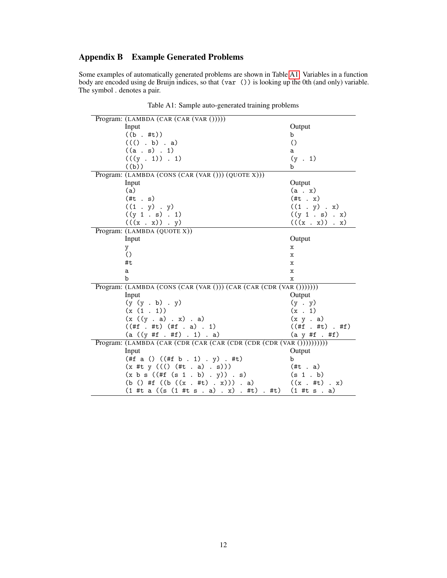# <span id="page-11-0"></span>Appendix B Example Generated Problems

Some examples of automatically generated problems are shown in Table [A1.](#page-1-0) Variables in a function body are encoded using de Bruijn indices, so that (var ()) is looking up the 0th (and only) variable. The symbol . denotes a pair.

| Program: (LAMBDA (CAR (CAR (VAR ()))))                                |                           |
|-----------------------------------------------------------------------|---------------------------|
| Input                                                                 | Output                    |
| $((b + #t))$                                                          | b                         |
| $((( )$ . b) . a)                                                     | $\circ$                   |
| $((a \cdot s) \cdot 1)$                                               | a                         |
| (((y . 1)) . 1)                                                       | $(y + 1)$                 |
| ((b))                                                                 | b                         |
| Program: (LAMBDA (CONS (CAR (VAR ())) (QUOTE X)))                     |                           |
| Input                                                                 | Output                    |
| (a)                                                                   | $(a \cdot x)$             |
| $(\#t \; . \; s)$                                                     | $(\#t \cdot x)$           |
| $((1 \cdot y) \cdot y)$                                               | $((1 \t y) \t x)$         |
| ((y 1.s) . 1)                                                         | ((y 1.s) . x)             |
| $(((x \cdot x)) \cdot y)$                                             | $(((x \cdot x)) \cdot x)$ |
| Program: (LAMBDA (QUOTE X))                                           |                           |
| Input                                                                 | Output                    |
| y                                                                     | x                         |
| $\circ$                                                               | $\mathbf x$               |
| #t                                                                    | $\mathbf x$               |
| a                                                                     | $\mathbf x$               |
| $\mathbf b$                                                           | x                         |
| Program: (LAMBDA (CONS (CAR (VAR ())) (CAR (CAR (CDR (VAR ()))))))    |                           |
| Input                                                                 | Output                    |
| (y (y b) y)                                                           | $(y \cdot y)$             |
| (x(1.1))                                                              | $(x \cdot 1)$             |
| (x ((y . a) . x) . a)                                                 | $(x \ y \ a)$             |
| $((#f + #t)$ $(Hf + a) . 1)$                                          | $((#f + #t) + #f)$        |
| $(a ((y #f + ff) + 1) + a)$                                           | $(a \ y #f . #f)$         |
| Program: (LAMBDA (CAR (CDR (CAR (CAR (CDR (CDR (CDR (VAR ())))))))))) |                           |
| Input                                                                 | Output                    |
| (#f a () $((#f b . 1) . y) . #t)$                                     | b                         |
| $(x #t y ((() (+t . a) . s)))$                                        | $(\#t \cdot a)$           |
| (x b s ((#f (s 1 b) . y)) . s)                                        | (s 1.b)                   |
| (b () #f $((b ((x + it) + x)))$ . a)                                  | $((x + #t) + x)$          |
| $(1 \#t a ((s (1 \#t s . a) . x) . #t) . #t)$                         | $(1 \#t s . a)$           |

Table A1: Sample auto-generated training problems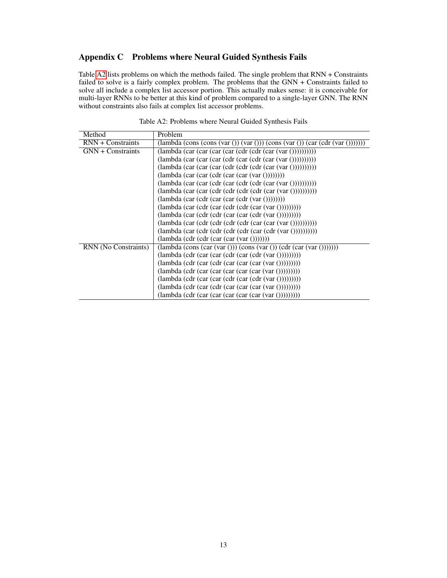# Appendix C Problems where Neural Guided Synthesis Fails

Table [A2](#page-6-1) lists problems on which the methods failed. The single problem that RNN + Constraints failed to solve is a fairly complex problem. The problems that the GNN + Constraints failed to solve all include a complex list accessor portion. This actually makes sense: it is conceivable for multi-layer RNNs to be better at this kind of problem compared to a single-layer GNN. The RNN without constraints also fails at complex list accessor problems.

| Method               | Problem                                                                                                                                                                      |
|----------------------|------------------------------------------------------------------------------------------------------------------------------------------------------------------------------|
| $RNN +$ Constraints  | $\frac{1}{\tan b}$ (cons (cons (var ()) (var ())) (cons (var ()) (car (cdr (var ())))))                                                                                      |
| GNN + Constraints    | $\left(\frac{\text{lambda}(car (car (car (car (cdr (cdr (car (var ())))))))}{\text{lambda}(car (car (car (cdr (car (var ())))))))}\right)$                                   |
|                      | $\langle$ lambda (car (car (car (cdr (car (cdr (car (var $\langle$ )))))))))))))                                                                                             |
|                      | $\langle$ lambda (car $\langle$ car $\langle$ car $\langle$ cdr $\langle$ cdr $\langle$ cdr $\langle$ car $\langle$ var $\langle$ i $\rangle$ ))))))))))                     |
|                      | $(lambda (car (car (cdr (car (var ())))))))$                                                                                                                                 |
|                      | $\langle$ lambda (car $\langle$ car $\langle$ cdr $\langle$ car $\langle$ cdr $\langle$ cdr $\langle$ car $\langle$ var $\langle$ i $\rangle$ ))))))))))                     |
|                      | $\langle$ lambda (car $\langle$ car $\langle$ cdr $\langle$ cdr $\langle$ cdr $\langle$ cdr $\langle$ car $\langle$ var $\langle$ i $\rangle$ ))))))))))                     |
|                      | $\langle$ lambda (car $\langle$ cdr $\langle$ car $\langle$ car $\langle$ cdr $\langle \langle \text{var}(y) \rangle \rangle$ ))))))                                         |
|                      | $\langle$ lambda (car $\langle$ cdr $\langle$ car $\langle$ cdr $\langle$ cdr $\langle$ car $\langle$ var $\langle$ i $\rangle$ )))))))))                                    |
|                      | $(lambda (car (cdr (cdr (car (cdr (var ())))))))$                                                                                                                            |
|                      | $\langle$ lambda (car $\langle$ cdr $\langle$ cdr $\langle$ cdr $\langle$ cdr $\langle$ car $\langle$ car $\langle$ var $\langle$ i $\rangle$ ) $\rangle$ ) $\rangle$ )))))) |
|                      | $\langle$ lambda (car $\langle$ cdr $\langle$ cdr $\langle$ cdr $\langle$ cdr $\langle$ car $\langle$ cdr $\langle \langle \text{var}(v) \rangle \rangle \rangle$ ))))))))   |
|                      | (lambda (cdr (cdr (car (var ()))))))                                                                                                                                         |
| RNN (No Constraints) | $\text{(lambda (cons (car (var))) (cons (var))) (cdr (car (var)))))}$                                                                                                        |
|                      | $\langle$ lambda $\langle$ cdr $\langle$ car $\langle$ car $\langle$ cdr $\langle$ car $\langle$ cdr $\langle \langle \text{var}(y) \rangle \rangle$                         |
|                      | $\langle$ lambda $\langle$ cdr $\langle$ car $\langle$ cdr $\langle$ car $\langle$ car $\langle$ car $\langle \langle \rangle$ xar $\langle \rangle$ )))))))))               |
|                      | $\langle$ lambda $\langle$ cdr $\langle$ car $\langle$ car $\langle$ car $\langle$ car $\langle$ car $\langle \langle \rangle$ xr $\langle \rangle$ $\rangle$                |
|                      | $\langle$ lambda $\langle$ cdr $\langle$ car $\langle$ car $\langle$ cdr $\langle$ car $\langle$ cdr $\langle \langle \text{var}(y) \rangle \rangle$                         |
|                      | $\langle$ lambda $\langle$ cdr $\langle$ car $\langle$ cdr $\langle$ car $\langle$ car $\langle$ car $\langle \langle \rangle$ xar $\langle \rangle$ )))))))))               |
|                      | $\langle$ lambda $\langle$ cdr $\langle$ car $\langle$ car $\langle$ car $\langle$ car $\langle$ car $\langle \langle \rangle$ xr $\langle \rangle$ $\rangle$ $\rangle$      |

Table A2: Problems where Neural Guided Synthesis Fails